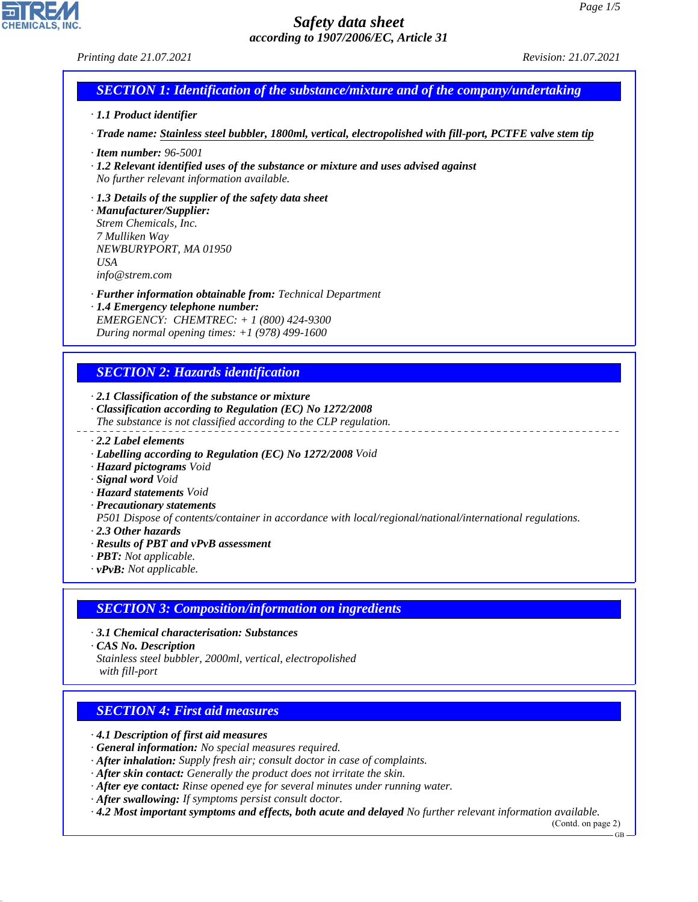### *Printing date 21.07.2021 Revision: 21.07.2021*

# *SECTION 1: Identification of the substance/mixture and of the company/undertaking*

#### *· 1.1 Product identifier*

*· Trade name: Stainless steel bubbler, 1800ml, vertical, electropolished with fill-port, PCTFE valve stem tip*

- *· Item number: 96-5001*
- *· 1.2 Relevant identified uses of the substance or mixture and uses advised against No further relevant information available.*

#### *· 1.3 Details of the supplier of the safety data sheet*

*· Manufacturer/Supplier: Strem Chemicals, Inc. 7 Mulliken Way NEWBURYPORT, MA 01950 USA info@strem.com*

*· Further information obtainable from: Technical Department*

*· 1.4 Emergency telephone number: EMERGENCY: CHEMTREC: + 1 (800) 424-9300 During normal opening times: +1 (978) 499-1600*

# *SECTION 2: Hazards identification*

*· 2.1 Classification of the substance or mixture*

- *· Classification according to Regulation (EC) No 1272/2008 The substance is not classified according to the CLP regulation.*
- *· 2.2 Label elements*
- *· Labelling according to Regulation (EC) No 1272/2008 Void*
- *· Hazard pictograms Void*
- *· Signal word Void*
- *· Hazard statements Void*
- *· Precautionary statements*

*P501 Dispose of contents/container in accordance with local/regional/national/international regulations.*

- *· 2.3 Other hazards*
- *· Results of PBT and vPvB assessment*
- *· PBT: Not applicable.*
- *· vPvB: Not applicable.*

### *SECTION 3: Composition/information on ingredients*

- *· 3.1 Chemical characterisation: Substances*
- *· CAS No. Description*

44.1.1

*Stainless steel bubbler, 2000ml, vertical, electropolished with fill-port*

### *SECTION 4: First aid measures*

*· 4.1 Description of first aid measures*

- *· General information: No special measures required.*
- *· After inhalation: Supply fresh air; consult doctor in case of complaints.*
- *· After skin contact: Generally the product does not irritate the skin.*
- *· After eye contact: Rinse opened eye for several minutes under running water.*
- *· After swallowing: If symptoms persist consult doctor.*

*· 4.2 Most important symptoms and effects, both acute and delayed No further relevant information available.*

(Contd. on page 2)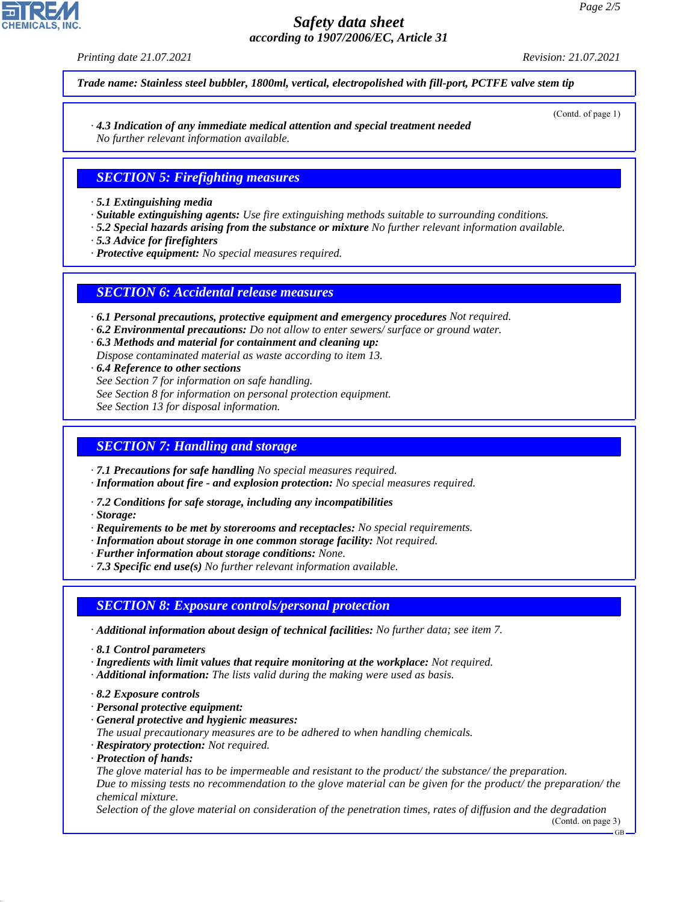*Printing date 21.07.2021 Revision: 21.07.2021*

(Contd. of page 1)

*Trade name: Stainless steel bubbler, 1800ml, vertical, electropolished with fill-port, PCTFE valve stem tip*

*· 4.3 Indication of any immediate medical attention and special treatment needed No further relevant information available.*

### *SECTION 5: Firefighting measures*

*· 5.1 Extinguishing media*

- *· Suitable extinguishing agents: Use fire extinguishing methods suitable to surrounding conditions.*
- *· 5.2 Special hazards arising from the substance or mixture No further relevant information available.*
- *· 5.3 Advice for firefighters*
- *· Protective equipment: No special measures required.*

### *SECTION 6: Accidental release measures*

*· 6.1 Personal precautions, protective equipment and emergency procedures Not required.*

- *· 6.2 Environmental precautions: Do not allow to enter sewers/ surface or ground water.*
- *· 6.3 Methods and material for containment and cleaning up: Dispose contaminated material as waste according to item 13.*
- *· 6.4 Reference to other sections*
- *See Section 7 for information on safe handling.*
- *See Section 8 for information on personal protection equipment.*

*See Section 13 for disposal information.*

# *SECTION 7: Handling and storage*

*· 7.1 Precautions for safe handling No special measures required.*

*· Information about fire - and explosion protection: No special measures required.*

*· 7.2 Conditions for safe storage, including any incompatibilities*

*· Storage:*

- *· Requirements to be met by storerooms and receptacles: No special requirements.*
- *· Information about storage in one common storage facility: Not required.*
- *· Further information about storage conditions: None.*
- *· 7.3 Specific end use(s) No further relevant information available.*

## *SECTION 8: Exposure controls/personal protection*

- *· Additional information about design of technical facilities: No further data; see item 7.*
- *· 8.1 Control parameters*
- *· Ingredients with limit values that require monitoring at the workplace: Not required.*
- *· Additional information: The lists valid during the making were used as basis.*
- *· 8.2 Exposure controls*
- *· Personal protective equipment:*
- *· General protective and hygienic measures:*
- *The usual precautionary measures are to be adhered to when handling chemicals.*
- *· Respiratory protection: Not required.*
- *· Protection of hands:*

44.1.1

*The glove material has to be impermeable and resistant to the product/ the substance/ the preparation. Due to missing tests no recommendation to the glove material can be given for the product/ the preparation/ the chemical mixture.*

*Selection of the glove material on consideration of the penetration times, rates of diffusion and the degradation*

(Contd. on page 3)

GB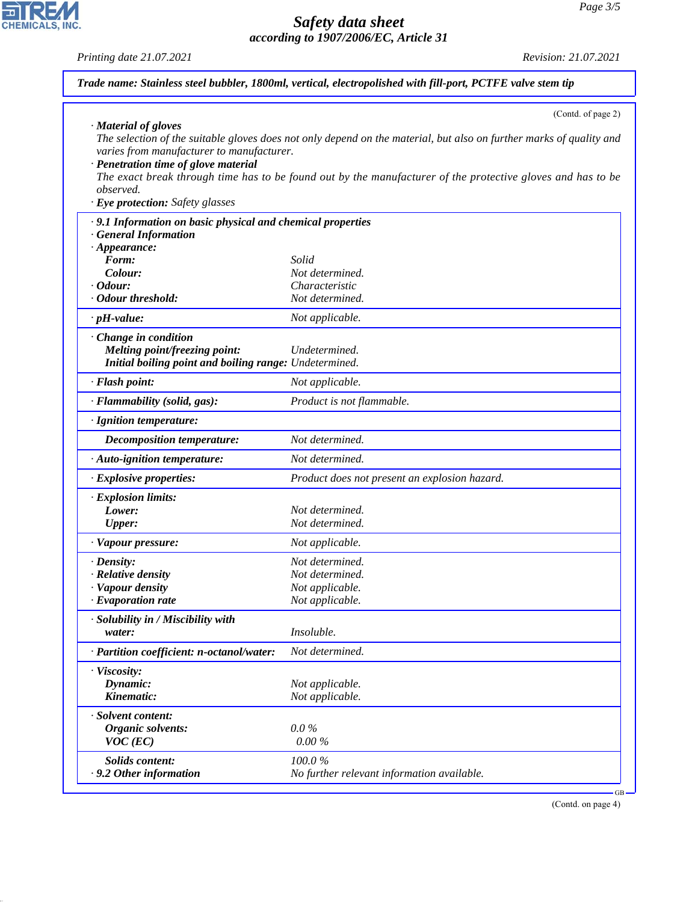

CHEMICALS, INC.

44.1.1

|                                                                                                                                                            | (Contd. of page 2)                                                                                                                                                                                                                 |
|------------------------------------------------------------------------------------------------------------------------------------------------------------|------------------------------------------------------------------------------------------------------------------------------------------------------------------------------------------------------------------------------------|
| · Material of gloves<br>varies from manufacturer to manufacturer.<br>· Penetration time of glove material<br>observed.<br>· Eye protection: Safety glasses | The selection of the suitable gloves does not only depend on the material, but also on further marks of quality and<br>The exact break through time has to be found out by the manufacturer of the protective gloves and has to be |
| · 9.1 Information on basic physical and chemical properties                                                                                                |                                                                                                                                                                                                                                    |
| <b>General Information</b>                                                                                                                                 |                                                                                                                                                                                                                                    |
| $\cdot$ Appearance:                                                                                                                                        |                                                                                                                                                                                                                                    |
| Form:                                                                                                                                                      | Solid                                                                                                                                                                                                                              |
| Colour:                                                                                                                                                    | Not determined.                                                                                                                                                                                                                    |
| $\cdot$ Odour:<br>· Odour threshold:                                                                                                                       | Characteristic<br>Not determined.                                                                                                                                                                                                  |
|                                                                                                                                                            |                                                                                                                                                                                                                                    |
| $\cdot$ pH-value:                                                                                                                                          | Not applicable.                                                                                                                                                                                                                    |
| · Change in condition                                                                                                                                      |                                                                                                                                                                                                                                    |
| Melting point/freezing point:                                                                                                                              | Undetermined.                                                                                                                                                                                                                      |
| Initial boiling point and boiling range: Undetermined.                                                                                                     |                                                                                                                                                                                                                                    |
| · Flash point:                                                                                                                                             | Not applicable.                                                                                                                                                                                                                    |
| · Flammability (solid, gas):                                                                                                                               | Product is not flammable.                                                                                                                                                                                                          |
| · Ignition temperature:                                                                                                                                    |                                                                                                                                                                                                                                    |
| <b>Decomposition temperature:</b>                                                                                                                          | Not determined.                                                                                                                                                                                                                    |
| · Auto-ignition temperature:                                                                                                                               | Not determined.                                                                                                                                                                                                                    |
| · Explosive properties:                                                                                                                                    | Product does not present an explosion hazard.                                                                                                                                                                                      |
| · Explosion limits:                                                                                                                                        |                                                                                                                                                                                                                                    |
| Lower:                                                                                                                                                     | Not determined.                                                                                                                                                                                                                    |
| <b>Upper:</b>                                                                                                                                              | Not determined.                                                                                                                                                                                                                    |
| · Vapour pressure:                                                                                                                                         | Not applicable.                                                                                                                                                                                                                    |
| $\cdot$ Density:                                                                                                                                           | Not determined.                                                                                                                                                                                                                    |
| · Relative density                                                                                                                                         | Not determined.                                                                                                                                                                                                                    |
| · Vapour density                                                                                                                                           | Not applicable.                                                                                                                                                                                                                    |
| $\cdot$ Evaporation rate                                                                                                                                   | Not applicable.                                                                                                                                                                                                                    |
| · Solubility in / Miscibility with                                                                                                                         |                                                                                                                                                                                                                                    |
| water:                                                                                                                                                     | <i>Insoluble.</i>                                                                                                                                                                                                                  |
| · Partition coefficient: n-octanol/water:                                                                                                                  | Not determined.                                                                                                                                                                                                                    |
| · Viscosity:                                                                                                                                               |                                                                                                                                                                                                                                    |
| Dynamic:                                                                                                                                                   | Not applicable.                                                                                                                                                                                                                    |
| Kinematic:                                                                                                                                                 | Not applicable.                                                                                                                                                                                                                    |
| · Solvent content:                                                                                                                                         |                                                                                                                                                                                                                                    |
| <b>Organic solvents:</b>                                                                                                                                   | $0.0\,\%$                                                                                                                                                                                                                          |
| $VOC$ (EC)                                                                                                                                                 | $0.00\%$                                                                                                                                                                                                                           |
|                                                                                                                                                            |                                                                                                                                                                                                                                    |
| <b>Solids content:</b>                                                                                                                                     | 100.0%                                                                                                                                                                                                                             |
| . 9.2 Other information                                                                                                                                    | No further relevant information available.                                                                                                                                                                                         |

(Contd. on page 4)

 $-GB$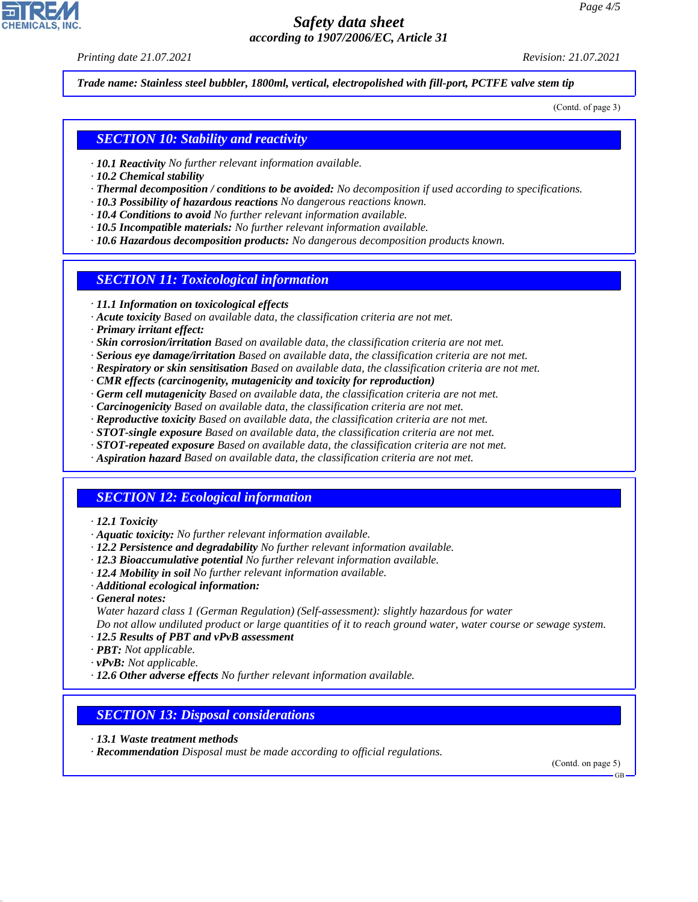*Printing date 21.07.2021 Revision: 21.07.2021*

*Trade name: Stainless steel bubbler, 1800ml, vertical, electropolished with fill-port, PCTFE valve stem tip*

(Contd. of page 3)

### *SECTION 10: Stability and reactivity*

- *· 10.1 Reactivity No further relevant information available.*
- *· 10.2 Chemical stability*
- *· Thermal decomposition / conditions to be avoided: No decomposition if used according to specifications.*
- *· 10.3 Possibility of hazardous reactions No dangerous reactions known.*
- *· 10.4 Conditions to avoid No further relevant information available.*
- *· 10.5 Incompatible materials: No further relevant information available.*
- *· 10.6 Hazardous decomposition products: No dangerous decomposition products known.*

### *SECTION 11: Toxicological information*

- *· 11.1 Information on toxicological effects*
- *· Acute toxicity Based on available data, the classification criteria are not met.*
- *· Primary irritant effect:*
- *· Skin corrosion/irritation Based on available data, the classification criteria are not met.*
- *· Serious eye damage/irritation Based on available data, the classification criteria are not met.*
- *· Respiratory or skin sensitisation Based on available data, the classification criteria are not met.*
- *· CMR effects (carcinogenity, mutagenicity and toxicity for reproduction)*
- *· Germ cell mutagenicity Based on available data, the classification criteria are not met.*
- *· Carcinogenicity Based on available data, the classification criteria are not met.*
- *· Reproductive toxicity Based on available data, the classification criteria are not met.*
- *· STOT-single exposure Based on available data, the classification criteria are not met.*
- *· STOT-repeated exposure Based on available data, the classification criteria are not met.*
- *· Aspiration hazard Based on available data, the classification criteria are not met.*

### *SECTION 12: Ecological information*

- *· 12.1 Toxicity*
- *· Aquatic toxicity: No further relevant information available.*
- *· 12.2 Persistence and degradability No further relevant information available.*
- *· 12.3 Bioaccumulative potential No further relevant information available.*
- *· 12.4 Mobility in soil No further relevant information available.*
- *· Additional ecological information:*
- *· General notes:*

44.1.1

*Water hazard class 1 (German Regulation) (Self-assessment): slightly hazardous for water*

*Do not allow undiluted product or large quantities of it to reach ground water, water course or sewage system. · 12.5 Results of PBT and vPvB assessment*

- *· PBT: Not applicable.*
- *· vPvB: Not applicable.*
- *· 12.6 Other adverse effects No further relevant information available.*

### *SECTION 13: Disposal considerations*

- *· 13.1 Waste treatment methods*
- *· Recommendation Disposal must be made according to official regulations.*

(Contd. on page 5)

GB